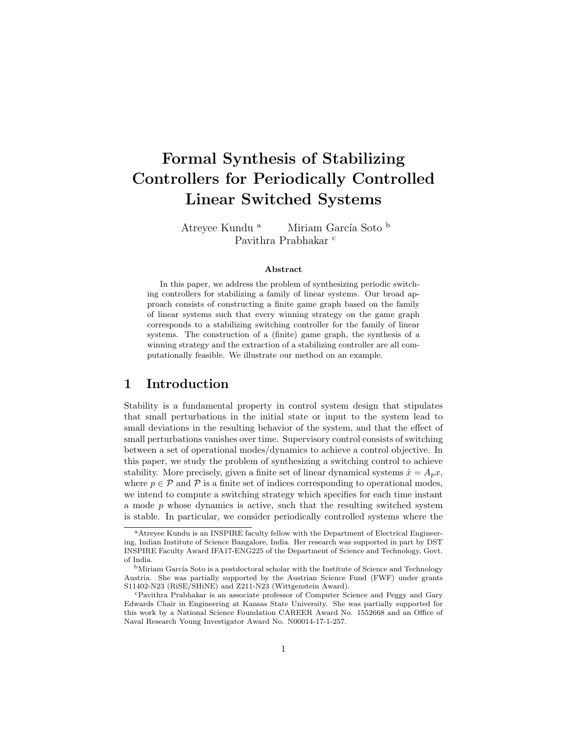# Formal Synthesis of Stabilizing Controllers for Periodically Controlled Linear Switched Systems

Atreyee Kundu<sup>a</sup> Miriam García Soto b Pavithra Prabhakar <sup>c</sup>

#### Abstract

In this paper, we address the problem of synthesizing periodic switching controllers for stabilizing a family of linear systems. Our broad approach consists of constructing a finite game graph based on the family of linear systems such that every winning strategy on the game graph corresponds to a stabilizing switching controller for the family of linear systems. The construction of a (finite) game graph, the synthesis of a winning strategy and the extraction of a stabilizing controller are all computationally feasible. We illustrate our method on an example.

### 1 Introduction

Stability is a fundamental property in control system design that stipulates that small perturbations in the initial state or input to the system lead to small deviations in the resulting behavior of the system, and that the effect of small perturbations vanishes over time. Supervisory control consists of switching between a set of operational modes/dynamics to achieve a control objective. In this paper, we study the problem of synthesizing a switching control to achieve stability. More precisely, given a finite set of linear dynamical systems  $\dot{x} = A_p x$ , where  $p \in \mathcal{P}$  and  $\mathcal{P}$  is a finite set of indices corresponding to operational modes, we intend to compute a switching strategy which specifies for each time instant a mode  $p$  whose dynamics is active, such that the resulting switched system is stable. In particular, we consider periodically controlled systems where the

<sup>a</sup>Atreyee Kundu is an INSPIRE faculty fellow with the Department of Electrical Engineering, Indian Institute of Science Bangalore, India. Her research was supported in part by DST INSPIRE Faculty Award IFA17-ENG225 of the Department of Science and Technology, Govt. of India.

<sup>&</sup>lt;sup>b</sup>Miriam García Soto is a postdoctoral scholar with the Institute of Science and Technology Austria. She was partially supported by the Austrian Science Fund (FWF) under grants S11402-N23 (RiSE/SHiNE) and Z211-N23 (Wittgenstein Award).

<sup>c</sup>Pavithra Prabhakar is an associate professor of Computer Science and Peggy and Gary Edwards Chair in Engineering at Kansas State University. She was partially supported for this work by a National Science Foundation CAREER Award No. 1552668 and an Office of Naval Research Young Investigator Award No. N00014-17-1-257.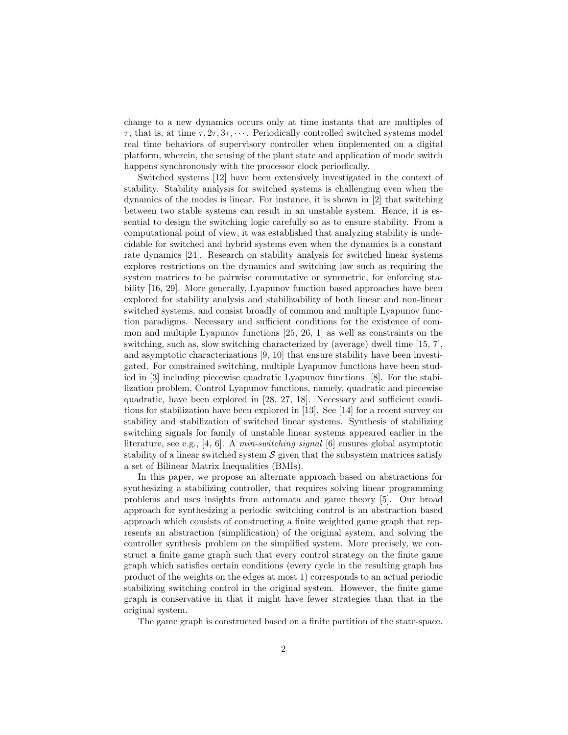change to a new dynamics occurs only at time instants that are multiples of  $\tau$ , that is, at time  $\tau$ ,  $2\tau$ ,  $3\tau$ ,  $\cdots$ . Periodically controlled switched systems model real time behaviors of supervisory controller when implemented on a digital platform, wherein, the sensing of the plant state and application of mode switch happens synchronously with the processor clock periodically.

Switched systems [12] have been extensively investigated in the context of stability. Stability analysis for switched systems is challenging even when the dynamics of the modes is linear. For instance, it is shown in [2] that switching between two stable systems can result in an unstable system. Hence, it is essential to design the switching logic carefully so as to ensure stability. From a computational point of view, it was established that analyzing stability is undecidable for switched and hybrid systems even when the dynamics is a constant rate dynamics [24]. Research on stability analysis for switched linear systems explores restrictions on the dynamics and switching law such as requiring the system matrices to be pairwise commutative or symmetric, for enforcing stability [16, 29]. More generally, Lyapunov function based approaches have been explored for stability analysis and stabilizability of both linear and non-linear switched systems, and consist broadly of common and multiple Lyapunov function paradigms. Necessary and sufficient conditions for the existence of common and multiple Lyapunov functions [25, 26, 1] as well as constraints on the switching, such as, slow switching characterized by (average) dwell time [15, 7], and asymptotic characterizations [9, 10] that ensure stability have been investigated. For constrained switching, multiple Lyapunov functions have been studied in [3] including piecewise quadratic Lyapunov functions [8]. For the stabilization problem, Control Lyapunov functions, namely, quadratic and piecewise quadratic, have been explored in [28, 27, 18]. Necessary and sufficient conditions for stabilization have been explored in [13]. See [14] for a recent survey on stability and stabilization of switched linear systems. Synthesis of stabilizing switching signals for family of unstable linear systems appeared earlier in the literature, see e.g., [4, 6]. A min-switching signal [6] ensures global asymptotic stability of a linear switched system  $S$  given that the subsystem matrices satisfy a set of Bilinear Matrix Inequalities (BMIs).

In this paper, we propose an alternate approach based on abstractions for synthesizing a stabilizing controller, that requires solving linear programming problems and uses insights from automata and game theory [5]. Our broad approach for synthesizing a periodic switching control is an abstraction based approach which consists of constructing a finite weighted game graph that represents an abstraction (simplification) of the original system, and solving the controller synthesis problem on the simplified system. More precisely, we construct a finite game graph such that every control strategy on the finite game graph which satisfies certain conditions (every cycle in the resulting graph has product of the weights on the edges at most 1) corresponds to an actual periodic stabilizing switching control in the original system. However, the finite game graph is conservative in that it might have fewer strategies than that in the original system.

The game graph is constructed based on a finite partition of the state-space.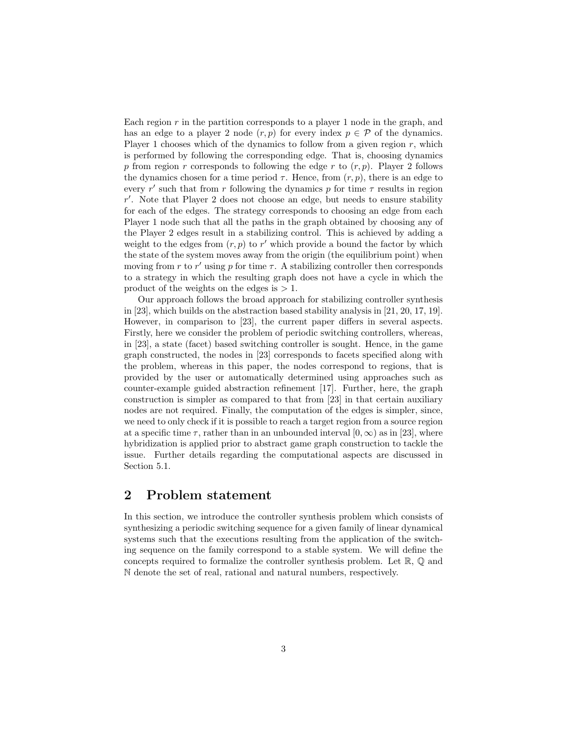Each region  $r$  in the partition corresponds to a player 1 node in the graph, and has an edge to a player 2 node  $(r, p)$  for every index  $p \in \mathcal{P}$  of the dynamics. Player 1 chooses which of the dynamics to follow from a given region  $r$ , which is performed by following the corresponding edge. That is, choosing dynamics p from region r corresponds to following the edge r to  $(r, p)$ . Player 2 follows the dynamics chosen for a time period  $\tau$ . Hence, from  $(r, p)$ , there is an edge to every r' such that from r following the dynamics p for time  $\tau$  results in region  $r'$ . Note that Player 2 does not choose an edge, but needs to ensure stability for each of the edges. The strategy corresponds to choosing an edge from each Player 1 node such that all the paths in the graph obtained by choosing any of the Player 2 edges result in a stabilizing control. This is achieved by adding a weight to the edges from  $(r, p)$  to r' which provide a bound the factor by which the state of the system moves away from the origin (the equilibrium point) when moving from r to r' using p for time  $\tau$ . A stabilizing controller then corresponds to a strategy in which the resulting graph does not have a cycle in which the product of the weights on the edges is  $> 1$ .

Our approach follows the broad approach for stabilizing controller synthesis in [23], which builds on the abstraction based stability analysis in [21, 20, 17, 19]. However, in comparison to [23], the current paper differs in several aspects. Firstly, here we consider the problem of periodic switching controllers, whereas, in [23], a state (facet) based switching controller is sought. Hence, in the game graph constructed, the nodes in [23] corresponds to facets specified along with the problem, whereas in this paper, the nodes correspond to regions, that is provided by the user or automatically determined using approaches such as counter-example guided abstraction refinement [17]. Further, here, the graph construction is simpler as compared to that from [23] in that certain auxiliary nodes are not required. Finally, the computation of the edges is simpler, since, we need to only check if it is possible to reach a target region from a source region at a specific time  $\tau$ , rather than in an unbounded interval  $[0, \infty)$  as in [23], where hybridization is applied prior to abstract game graph construction to tackle the issue. Further details regarding the computational aspects are discussed in Section 5.1.

# 2 Problem statement

In this section, we introduce the controller synthesis problem which consists of synthesizing a periodic switching sequence for a given family of linear dynamical systems such that the executions resulting from the application of the switching sequence on the family correspond to a stable system. We will define the concepts required to formalize the controller synthesis problem. Let  $\mathbb{R}, \mathbb{Q}$  and N denote the set of real, rational and natural numbers, respectively.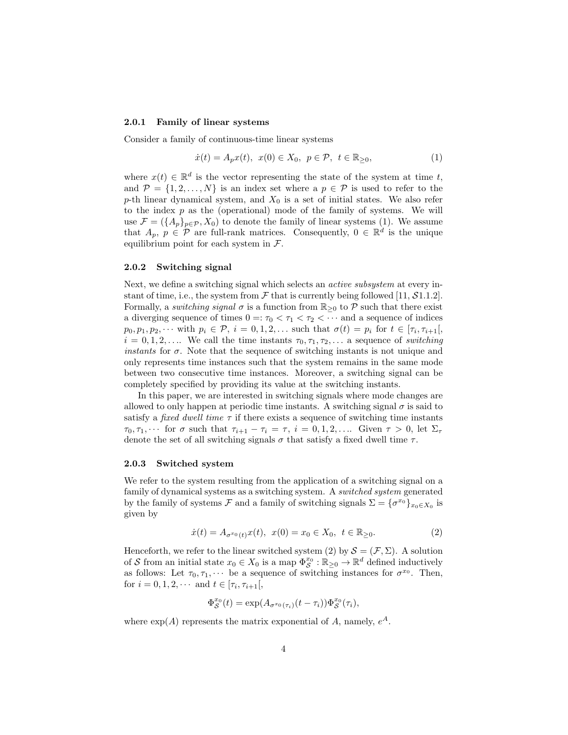### 2.0.1 Family of linear systems

Consider a family of continuous-time linear systems

$$
\dot{x}(t) = A_p x(t), \ x(0) \in X_0, \ p \in \mathcal{P}, \ t \in \mathbb{R}_{\geq 0}, \tag{1}
$$

where  $x(t) \in \mathbb{R}^d$  is the vector representing the state of the system at time t, and  $\mathcal{P} = \{1, 2, ..., N\}$  is an index set where a  $p \in \mathcal{P}$  is used to refer to the p-th linear dynamical system, and  $X_0$  is a set of initial states. We also refer to the index  $p$  as the (operational) mode of the family of systems. We will use  $\mathcal{F} = (\{A_p\}_{p \in \mathcal{P}}, X_0)$  to denote the family of linear systems (1). We assume that  $A_p$ ,  $p \in \mathcal{P}$  are full-rank matrices. Consequently,  $0 \in \mathbb{R}^d$  is the unique equilibrium point for each system in  $\mathcal{F}$ .

### 2.0.2 Switching signal

Next, we define a switching signal which selects an active subsystem at every instant of time, i.e., the system from  $\mathcal F$  that is currently being followed [11,  $\mathcal S$ 1.1.2]. Formally, a *switching signal*  $\sigma$  is a function from  $\mathbb{R}_{\geq 0}$  to  $\mathcal P$  such that there exist a diverging sequence of times  $0 =: \tau_0 < \tau_1 < \tau_2 < \cdots$  and a sequence of indices  $p_0, p_1, p_2, \cdots$  with  $p_i \in \mathcal{P}, i = 0, 1, 2, \ldots$  such that  $\sigma(t) = p_i$  for  $t \in [\tau_i, \tau_{i+1}],$  $i = 0, 1, 2, \ldots$  We call the time instants  $\tau_0, \tau_1, \tau_2, \ldots$  a sequence of switching instants for  $\sigma$ . Note that the sequence of switching instants is not unique and only represents time instances such that the system remains in the same mode between two consecutive time instances. Moreover, a switching signal can be completely specified by providing its value at the switching instants.

In this paper, we are interested in switching signals where mode changes are allowed to only happen at periodic time instants. A switching signal  $\sigma$  is said to satisfy a *fixed dwell time*  $\tau$  if there exists a sequence of switching time instants  $\tau_0, \tau_1, \cdots$  for  $\sigma$  such that  $\tau_{i+1} - \tau_i = \tau$ ,  $i = 0, 1, 2, \ldots$  Given  $\tau > 0$ , let  $\Sigma_{\tau}$ denote the set of all switching signals  $\sigma$  that satisfy a fixed dwell time  $\tau$ .

### 2.0.3 Switched system

We refer to the system resulting from the application of a switching signal on a family of dynamical systems as a switching system. A switched system generated by the family of systems  $\mathcal F$  and a family of switching signals  $\Sigma = {\{\sigma^{x_0}\}}_{x_0 \in X_0}$  is given by

$$
\dot{x}(t) = A_{\sigma^{x_0}(t)}x(t), \ x(0) = x_0 \in X_0, \ t \in \mathbb{R}_{\geq 0}.
$$
 (2)

Henceforth, we refer to the linear switched system (2) by  $S = (\mathcal{F}, \Sigma)$ . A solution of S from an initial state  $x_0 \in X_0$  is a map  $\Phi_S^{x_0} : \mathbb{R}_{\geq 0} \to \mathbb{R}^d$  defined inductively as follows: Let  $\tau_0, \tau_1, \cdots$  be a sequence of switching instances for  $\sigma^{x_0}$ . Then, for  $i = 0, 1, 2, \cdots$  and  $t \in [\tau_i, \tau_{i+1}],$ 

$$
\Phi_{\mathcal{S}}^{x_0}(t) = \exp(A_{\sigma^{x_0}(\tau_i)}(t-\tau_i))\Phi_{\mathcal{S}}^{x_0}(\tau_i),
$$

where  $\exp(A)$  represents the matrix exponential of A, namely,  $e^A$ .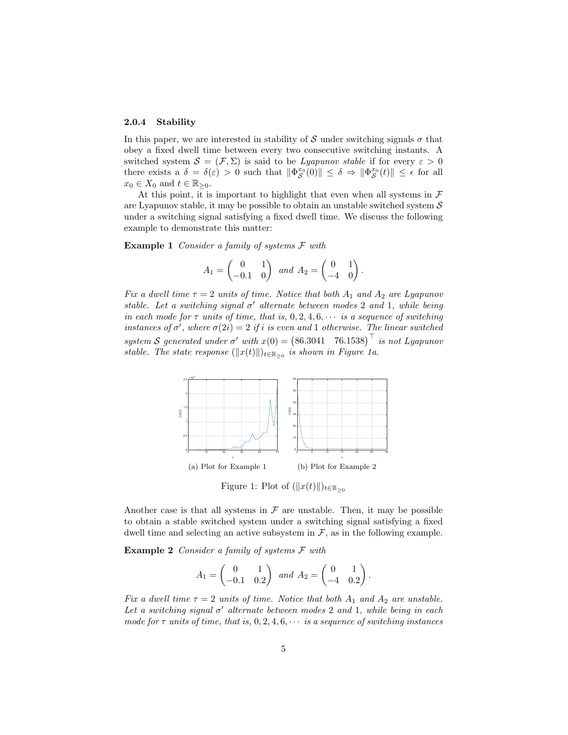### 2.0.4 Stability

In this paper, we are interested in stability of S under switching signals  $\sigma$  that obey a fixed dwell time between every two consecutive switching instants. A switched system  $S = (\mathcal{F}, \Sigma)$  is said to be *Lyapunov stable* if for every  $\varepsilon > 0$ there exists a  $\delta = \delta(\varepsilon) > 0$  such that  $\|\Phi_{\mathcal{S}}^{x_0}(0)\| \leq \delta \Rightarrow \|\Phi_{\mathcal{S}}^{x_0}(t)\| \leq \epsilon$  for all  $x_0 \in X_0$  and  $t \in \mathbb{R}_{\geq 0}$ .

At this point, it is important to highlight that even when all systems in  $\mathcal F$ are Lyapunov stable, it may be possible to obtain an unstable switched system  $\mathcal S$ under a switching signal satisfying a fixed dwell time. We discuss the following example to demonstrate this matter:

**Example 1** Consider a family of systems  $\mathcal F$  with

$$
A_1 = \begin{pmatrix} 0 & 1 \\ -0.1 & 0 \end{pmatrix} \text{ and } A_2 = \begin{pmatrix} 0 & 1 \\ -4 & 0 \end{pmatrix}.
$$

Fix a dwell time  $\tau = 2$  units of time. Notice that both  $A_1$  and  $A_2$  are Lyapunov stable. Let a switching signal  $\sigma'$  alternate between modes 2 and 1, while being in each mode for  $\tau$  units of time, that is,  $0, 2, 4, 6, \cdots$  is a sequence of switching instances of  $\sigma'$ , where  $\sigma(2i) = 2$  if i is even and 1 otherwise. The linear switched system S generated under  $\sigma'$  with  $x(0) = (86.3041 \quad 76.1538)^{\top}$  is not Lyapunov stable. The state response  $(\Vert x(t) \Vert)_{t \in \mathbb{R}_{\geq 0}}$  is shown in Figure 1a.



Figure 1: Plot of  $(\Vert x(t)\Vert)_{t\in\mathbb{R}_{\geq0}}$ 

Another case is that all systems in  $\mathcal F$  are unstable. Then, it may be possible to obtain a stable switched system under a switching signal satisfying a fixed dwell time and selecting an active subsystem in  $\mathcal{F}$ , as in the following example.

**Example 2** Consider a family of systems  $F$  with

$$
A_1 = \begin{pmatrix} 0 & 1 \\ -0.1 & 0.2 \end{pmatrix} \text{ and } A_2 = \begin{pmatrix} 0 & 1 \\ -4 & 0.2 \end{pmatrix}.
$$

Fix a dwell time  $\tau = 2$  units of time. Notice that both  $A_1$  and  $A_2$  are unstable. Let a switching signal  $\sigma'$  alternate between modes 2 and 1, while being in each mode for  $\tau$  units of time, that is, 0, 2, 4, 6,  $\cdots$  is a sequence of switching instances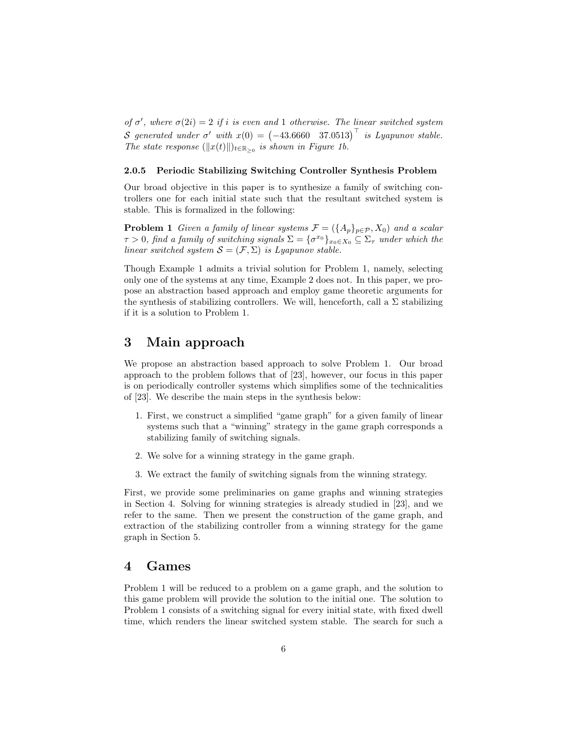of  $\sigma'$ , where  $\sigma(2i) = 2$  if i is even and 1 otherwise. The linear switched system S generated under  $\sigma'$  with  $x(0) = \begin{pmatrix} -43.6660 & 37.0513 \end{pmatrix}^{\top}$  is Lyapunov stable. The state response  $(\Vert x(t) \Vert)_{t \in \mathbb{R}_{>0}}$  is shown in Figure 1b.

### 2.0.5 Periodic Stabilizing Switching Controller Synthesis Problem

Our broad objective in this paper is to synthesize a family of switching controllers one for each initial state such that the resultant switched system is stable. This is formalized in the following:

**Problem 1** Given a family of linear systems  $\mathcal{F} = (\{A_p\}_{p \in \mathcal{P}}, X_0)$  and a scalar  $\tau > 0$ , find a family of switching signals  $\Sigma = {\{\sigma^{x_0}\}}_{x_0 \in X_0} \subseteq \Sigma_\tau$  under which the linear switched system  $S = (\mathcal{F}, \Sigma)$  is Lyapunov stable.

Though Example 1 admits a trivial solution for Problem 1, namely, selecting only one of the systems at any time, Example 2 does not. In this paper, we propose an abstraction based approach and employ game theoretic arguments for the synthesis of stabilizing controllers. We will, henceforth, call a  $\Sigma$  stabilizing if it is a solution to Problem 1.

### 3 Main approach

We propose an abstraction based approach to solve Problem 1. Our broad approach to the problem follows that of [23], however, our focus in this paper is on periodically controller systems which simplifies some of the technicalities of [23]. We describe the main steps in the synthesis below:

- 1. First, we construct a simplified "game graph" for a given family of linear systems such that a "winning" strategy in the game graph corresponds a stabilizing family of switching signals.
- 2. We solve for a winning strategy in the game graph.
- 3. We extract the family of switching signals from the winning strategy.

First, we provide some preliminaries on game graphs and winning strategies in Section 4. Solving for winning strategies is already studied in [23], and we refer to the same. Then we present the construction of the game graph, and extraction of the stabilizing controller from a winning strategy for the game graph in Section 5.

### 4 Games

Problem 1 will be reduced to a problem on a game graph, and the solution to this game problem will provide the solution to the initial one. The solution to Problem 1 consists of a switching signal for every initial state, with fixed dwell time, which renders the linear switched system stable. The search for such a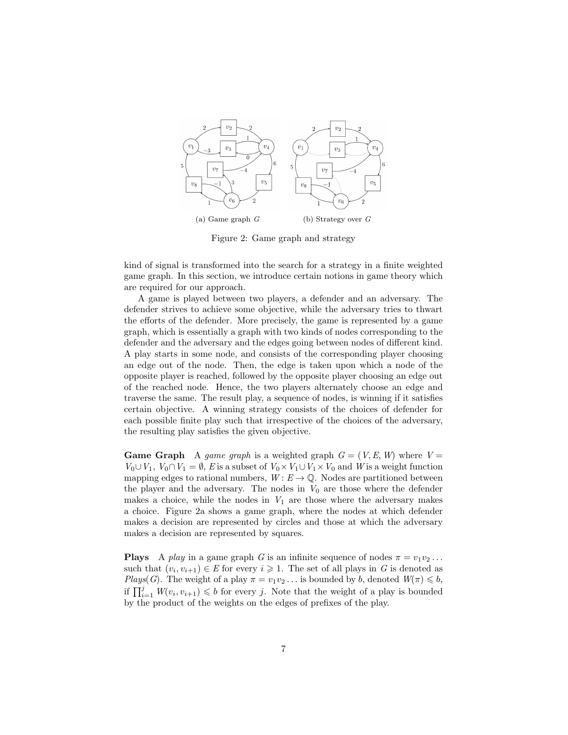

Figure 2: Game graph and strategy

kind of signal is transformed into the search for a strategy in a finite weighted game graph. In this section, we introduce certain notions in game theory which are required for our approach.

A game is played between two players, a defender and an adversary. The defender strives to achieve some objective, while the adversary tries to thwart the efforts of the defender. More precisely, the game is represented by a game graph, which is essentially a graph with two kinds of nodes corresponding to the defender and the adversary and the edges going between nodes of different kind. A play starts in some node, and consists of the corresponding player choosing an edge out of the node. Then, the edge is taken upon which a node of the opposite player is reached, followed by the opposite player choosing an edge out of the reached node. Hence, the two players alternately choose an edge and traverse the same. The result play, a sequence of nodes, is winning if it satisfies certain objective. A winning strategy consists of the choices of defender for each possible finite play such that irrespective of the choices of the adversary, the resulting play satisfies the given objective.

**Game Graph** A game graph is a weighted graph  $G = (V, E, W)$  where  $V =$  $V_0 \cup V_1$ ,  $V_0 \cap V_1 = \emptyset$ , E is a subset of  $V_0 \times V_1 \cup V_1 \times V_0$  and W is a weight function mapping edges to rational numbers,  $W: E \to \mathbb{Q}$ . Nodes are partitioned between the player and the adversary. The nodes in  $V_0$  are those where the defender makes a choice, while the nodes in  $V_1$  are those where the adversary makes a choice. Figure 2a shows a game graph, where the nodes at which defender makes a decision are represented by circles and those at which the adversary makes a decision are represented by squares.

**Plays** A play in a game graph G is an infinite sequence of nodes  $\pi = v_1v_2 \ldots$ such that  $(v_i, v_{i+1}) \in E$  for every  $i \geq 1$ . The set of all plays in G is denoted as Plays(G). The weight of a play  $\pi = v_1v_2 \dots$  is bounded by b, denoted  $W(\pi) \leq b$ , if  $\prod_{i=1}^j W(v_i, v_{i+1}) \leq b$  for every j. Note that the weight of a play is bounded by the product of the weights on the edges of prefixes of the play.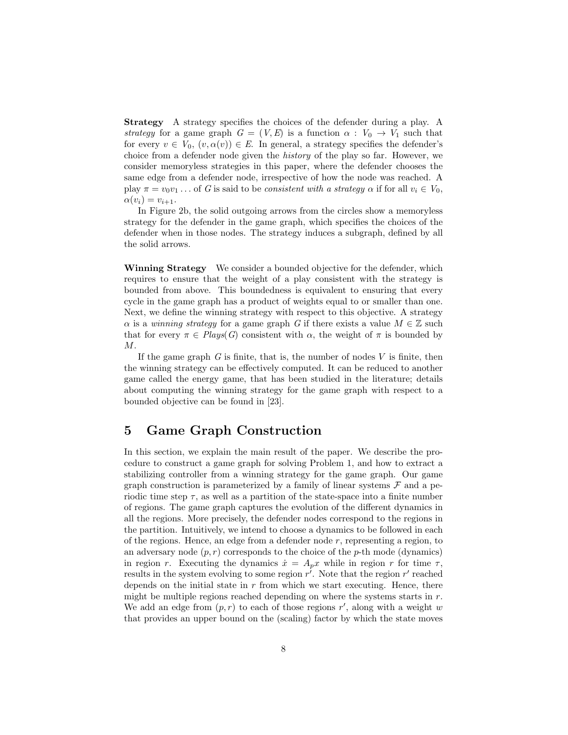Strategy A strategy specifies the choices of the defender during a play. A strategy for a game graph  $G = (V, E)$  is a function  $\alpha : V_0 \to V_1$  such that for every  $v \in V_0$ ,  $(v, \alpha(v)) \in E$ . In general, a strategy specifies the defender's choice from a defender node given the history of the play so far. However, we consider memoryless strategies in this paper, where the defender chooses the same edge from a defender node, irrespective of how the node was reached. A play  $\pi = v_0v_1 \dots$  of G is said to be consistent with a strategy  $\alpha$  if for all  $v_i \in V_0$ ,  $\alpha(v_i) = v_{i+1}.$ 

In Figure 2b, the solid outgoing arrows from the circles show a memoryless strategy for the defender in the game graph, which specifies the choices of the defender when in those nodes. The strategy induces a subgraph, defined by all the solid arrows.

Winning Strategy We consider a bounded objective for the defender, which requires to ensure that the weight of a play consistent with the strategy is bounded from above. This boundedness is equivalent to ensuring that every cycle in the game graph has a product of weights equal to or smaller than one. Next, we define the winning strategy with respect to this objective. A strategy  $\alpha$  is a *winning strategy* for a game graph G if there exists a value  $M \in \mathbb{Z}$  such that for every  $\pi \in \text{Plays}(G)$  consistent with  $\alpha$ , the weight of  $\pi$  is bounded by M.

If the game graph  $G$  is finite, that is, the number of nodes  $V$  is finite, then the winning strategy can be effectively computed. It can be reduced to another game called the energy game, that has been studied in the literature; details about computing the winning strategy for the game graph with respect to a bounded objective can be found in [23].

### 5 Game Graph Construction

In this section, we explain the main result of the paper. We describe the procedure to construct a game graph for solving Problem 1, and how to extract a stabilizing controller from a winning strategy for the game graph. Our game graph construction is parameterized by a family of linear systems  $\mathcal F$  and a periodic time step  $\tau$ , as well as a partition of the state-space into a finite number of regions. The game graph captures the evolution of the different dynamics in all the regions. More precisely, the defender nodes correspond to the regions in the partition. Intuitively, we intend to choose a dynamics to be followed in each of the regions. Hence, an edge from a defender node  $r$ , representing a region, to an adversary node  $(p, r)$  corresponds to the choice of the p-th mode (dynamics) in region r. Executing the dynamics  $\dot{x} = A_p x$  while in region r for time  $\tau$ , results in the system evolving to some region  $r^i$ . Note that the region  $r'$  reached depends on the initial state in  $r$  from which we start executing. Hence, there might be multiple regions reached depending on where the systems starts in  $r$ . We add an edge from  $(p, r)$  to each of those regions r', along with a weight w that provides an upper bound on the (scaling) factor by which the state moves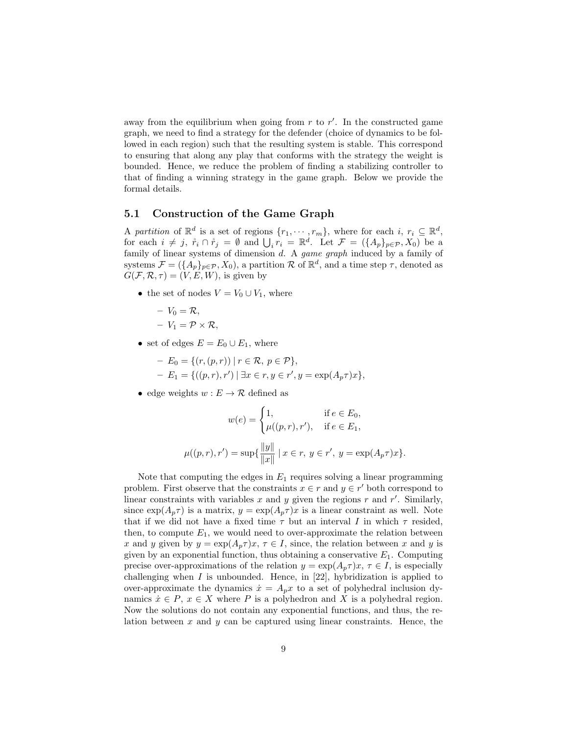away from the equilibrium when going from  $r$  to  $r'$ . In the constructed game graph, we need to find a strategy for the defender (choice of dynamics to be followed in each region) such that the resulting system is stable. This correspond to ensuring that along any play that conforms with the strategy the weight is bounded. Hence, we reduce the problem of finding a stabilizing controller to that of finding a winning strategy in the game graph. Below we provide the formal details.

### 5.1 Construction of the Game Graph

A partition of  $\mathbb{R}^d$  is a set of regions  $\{r_1, \dots, r_m\}$ , where for each  $i, r_i \subseteq \mathbb{R}^d$ , for each  $i \neq j$ ,  $\mathring{r}_i \cap \mathring{r}_j = \emptyset$  and  $\bigcup_i \mathring{r}_i = \mathbb{R}^d$ . Let  $\mathcal{F} = (\{A_p\}_{p \in \mathcal{P}}, X_0)$  be a family of linear systems of dimension d. A game graph induced by a family of systems  $\mathcal{F} = (\{A_p\}_{p \in \mathcal{P}}, X_0)$ , a partition R of  $\mathbb{R}^d$ , and a time step  $\tau$ , denoted as  $G(\mathcal{F}, \mathcal{R}, \tau) = (V, E, W)$ , is given by

- the set of nodes  $V = V_0 \cup V_1$ , where
	- $-V_0 = \mathcal{R},$
	- $-V_1 = \mathcal{P} \times \mathcal{R}$ ,
- set of edges  $E = E_0 \cup E_1$ , where

$$
- E_0 = \{ (r, (p, r)) \mid r \in \mathcal{R}, \ p \in \mathcal{P} \},
$$
  
- E<sub>1</sub> = \{ ((p, r), r') \mid \exists x \in r, y \in r', y = \exp(A\_p \tau) x \},

• edge weights  $w : E \to \mathcal{R}$  defined as

$$
w(e) = \begin{cases} 1, & \text{if } e \in E_0, \\ \mu((p, r), r'), & \text{if } e \in E_1, \end{cases}
$$

$$
\mu((p, r), r') = \sup \{ \frac{\|y\|}{\|x\|} \mid x \in r, y \in r', y = \exp(A_p \tau)x \}.
$$

Note that computing the edges in  $E_1$  requires solving a linear programming problem. First observe that the constraints  $x \in r$  and  $y \in r'$  both correspond to linear constraints with variables  $x$  and  $y$  given the regions  $r$  and  $r'$ . Similarly, since  $\exp(A_p \tau)$  is a matrix,  $y = \exp(A_p \tau)x$  is a linear constraint as well. Note that if we did not have a fixed time  $\tau$  but an interval I in which  $\tau$  resided, then, to compute  $E_1$ , we would need to over-approximate the relation between x and y given by  $y = \exp(A_p \tau)x$ ,  $\tau \in I$ , since, the relation between x and y is given by an exponential function, thus obtaining a conservative  $E_1$ . Computing precise over-approximations of the relation  $y = \exp(A_n \tau)x$ ,  $\tau \in I$ , is especially challenging when  $I$  is unbounded. Hence, in [22], hybridization is applied to over-approximate the dynamics  $\dot{x} = A_p x$  to a set of polyhedral inclusion dynamics  $\dot{x} \in P$ ,  $x \in X$  where P is a polyhedron and X is a polyhedral region. Now the solutions do not contain any exponential functions, and thus, the relation between  $x$  and  $y$  can be captured using linear constraints. Hence, the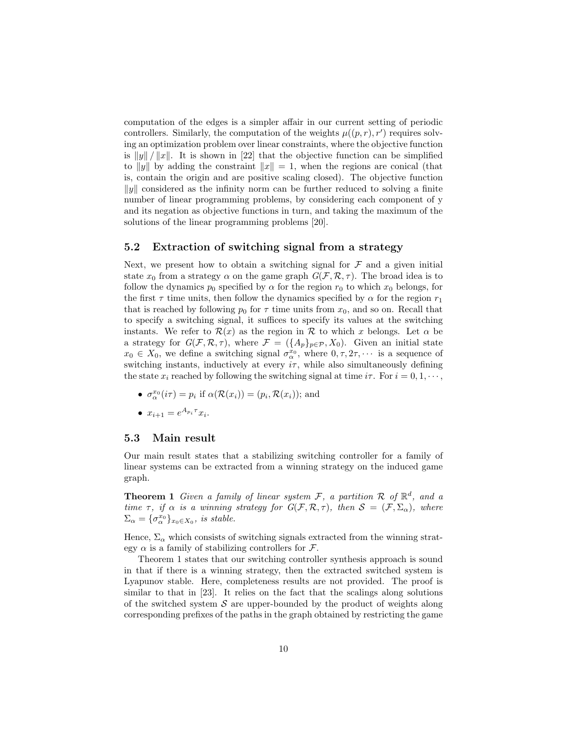computation of the edges is a simpler affair in our current setting of periodic controllers. Similarly, the computation of the weights  $\mu((p, r), r')$  requires solving an optimization problem over linear constraints, where the objective function is  $||y|| / ||x||$ . It is shown in [22] that the objective function can be simplified to ||y|| by adding the constraint  $||x|| = 1$ , when the regions are conical (that is, contain the origin and are positive scaling closed). The objective function  $||y||$  considered as the infinity norm can be further reduced to solving a finite number of linear programming problems, by considering each component of y and its negation as objective functions in turn, and taking the maximum of the solutions of the linear programming problems [20].

### 5.2 Extraction of switching signal from a strategy

Next, we present how to obtain a switching signal for  $\mathcal F$  and a given initial state  $x_0$  from a strategy  $\alpha$  on the game graph  $G(\mathcal{F}, \mathcal{R}, \tau)$ . The broad idea is to follow the dynamics  $p_0$  specified by  $\alpha$  for the region  $r_0$  to which  $x_0$  belongs, for the first  $\tau$  time units, then follow the dynamics specified by  $\alpha$  for the region  $r_1$ that is reached by following  $p_0$  for  $\tau$  time units from  $x_0$ , and so on. Recall that to specify a switching signal, it suffices to specify its values at the switching instants. We refer to  $\mathcal{R}(x)$  as the region in  $\mathcal R$  to which x belongs. Let  $\alpha$  be a strategy for  $G(\mathcal{F}, \mathcal{R}, \tau)$ , where  $\mathcal{F} = (\{A_p\}_{p \in \mathcal{P}}, X_0)$ . Given an initial state  $x_0 \in X_0$ , we define a switching signal  $\sigma_{\alpha}^{x_0}$ , where  $0, \tau, 2\tau, \cdots$  is a sequence of switching instants, inductively at every  $i\tau$ , while also simultaneously defining the state  $x_i$  reached by following the switching signal at time  $i\tau$ . For  $i = 0, 1, \dots$ ,

- $\sigma_{\alpha}^{x_0}(i\tau) = p_i$  if  $\alpha(\mathcal{R}(x_i)) = (p_i, \mathcal{R}(x_i))$ ; and
- $x_{i+1} = e^{A_{p_i}\tau}x_i$ .

### 5.3 Main result

Our main result states that a stabilizing switching controller for a family of linear systems can be extracted from a winning strategy on the induced game graph.

**Theorem 1** Given a family of linear system F, a partition R of  $\mathbb{R}^d$ , and a time  $\tau$ , if  $\alpha$  is a winning strategy for  $G(\mathcal{F}, \mathcal{R}, \tau)$ , then  $\mathcal{S} = (\mathcal{F}, \Sigma_{\alpha})$ , where  $\Sigma_{\alpha} = {\{\sigma_{\alpha}^{x_0}\}}_{x_0 \in X_0}, \text{ is stable.}$ 

Hence,  $\Sigma_{\alpha}$  which consists of switching signals extracted from the winning strategy  $\alpha$  is a family of stabilizing controllers for  $\mathcal{F}$ .

Theorem 1 states that our switching controller synthesis approach is sound in that if there is a winning strategy, then the extracted switched system is Lyapunov stable. Here, completeness results are not provided. The proof is similar to that in [23]. It relies on the fact that the scalings along solutions of the switched system  $\mathcal S$  are upper-bounded by the product of weights along corresponding prefixes of the paths in the graph obtained by restricting the game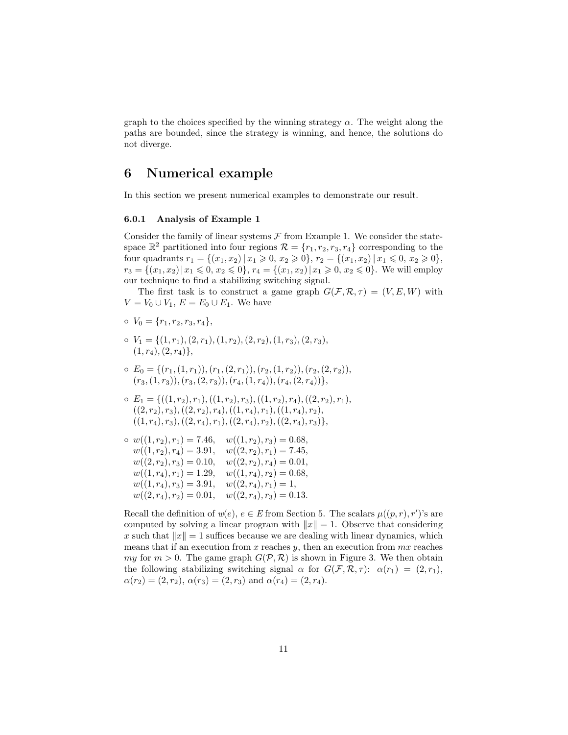graph to the choices specified by the winning strategy  $\alpha$ . The weight along the paths are bounded, since the strategy is winning, and hence, the solutions do not diverge.

# 6 Numerical example

In this section we present numerical examples to demonstrate our result.

### 6.0.1 Analysis of Example 1

Consider the family of linear systems  $\mathcal F$  from Example 1. We consider the statespace  $\mathbb{R}^2$  partitioned into four regions  $\mathcal{R} = \{r_1, r_2, r_3, r_4\}$  corresponding to the four quadrants  $r_1 = \{(x_1, x_2) | x_1 \geq 0, x_2 \geq 0\}, r_2 = \{(x_1, x_2) | x_1 \leq 0, x_2 \geq 0\},$  $r_3 = \{(x_1, x_2) | x_1 \leq 0, x_2 \leq 0\}, r_4 = \{(x_1, x_2) | x_1 \geq 0, x_2 \leq 0\}.$  We will employ our technique to find a stabilizing switching signal.

The first task is to construct a game graph  $G(\mathcal{F}, \mathcal{R}, \tau) = (V, E, W)$  with  $V = V_0 \cup V_1, E = E_0 \cup E_1$ . We have

$$
\circ V_0 = \{r_1, r_2, r_3, r_4\},\
$$

- $V_1 = \{(1, r_1), (2, r_1), (1, r_2), (2, r_2), (1, r_3), (2, r_3),\}$  $(1, r_4), (2, r_4)$ ,
- $\circ E_0 = \{(r_1,(1,r_1)),(r_1,(2,r_1)),(r_2,(1,r_2)),(r_2,(2,r_2)),$  $(r_3,(1, r_3)),(r_3,(2, r_3)),(r_4,(1, r_4)),(r_4,(2, r_4))\},$
- $E_1 = \{((1, r_2), r_1), ((1, r_2), r_3), ((1, r_2), r_4), ((2, r_2), r_1),$  $((2, r_2), r_3), ((2, r_2), r_4), ((1, r_4), r_1), ((1, r_4), r_2),$  $((1, r_4), r_3), ((2, r_4), r_1), ((2, r_4), r_2), ((2, r_4), r_3)\},$

$$
\circ w((1, r_2), r_1) = 7.46, \quad w((1, r_2), r_3) = 0.68, \n w((1, r_2), r_4) = 3.91, \quad w((2, r_2), r_1) = 7.45, \n w((2, r_2), r_3) = 0.10, \quad w((2, r_2), r_4) = 0.01, \n w((1, r_4), r_1) = 1.29, \quad w((1, r_4), r_2) = 0.68, \n w((1, r_4), r_3) = 3.91, \quad w((2, r_4), r_1) = 1, \n w((2, r_4), r_2) = 0.01, \quad w((2, r_4), r_3) = 0.13.
$$

Recall the definition of  $w(e)$ ,  $e \in E$  from Section 5. The scalars  $\mu((p, r), r')$ 's are computed by solving a linear program with  $||x|| = 1$ . Observe that considering x such that  $||x|| = 1$  suffices because we are dealing with linear dynamics, which means that if an execution from  $x$  reaches  $y$ , then an execution from  $mx$  reaches my for  $m > 0$ . The game graph  $G(\mathcal{P}, \mathcal{R})$  is shown in Figure 3. We then obtain the following stabilizing switching signal  $\alpha$  for  $G(\mathcal{F}, \mathcal{R}, \tau)$ :  $\alpha(r_1) = (2, r_1)$ ,  $\alpha(r_2) = (2, r_2), \alpha(r_3) = (2, r_3) \text{ and } \alpha(r_4) = (2, r_4).$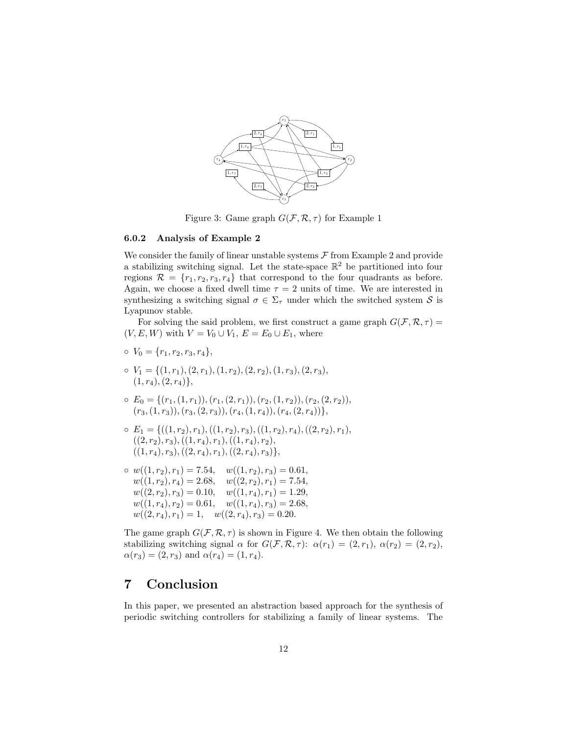

Figure 3: Game graph  $G(\mathcal{F}, \mathcal{R}, \tau)$  for Example 1

#### 6.0.2 Analysis of Example 2

We consider the family of linear unstable systems  $\mathcal F$  from Example 2 and provide a stabilizing switching signal. Let the state-space  $\mathbb{R}^2$  be partitioned into four regions  $\mathcal{R} = \{r_1, r_2, r_3, r_4\}$  that correspond to the four quadrants as before. Again, we choose a fixed dwell time  $\tau = 2$  units of time. We are interested in synthesizing a switching signal  $\sigma \in \Sigma_{\tau}$  under which the switched system S is Lyapunov stable.

For solving the said problem, we first construct a game graph  $G(\mathcal{F}, \mathcal{R}, \tau) =$  $(V, E, W)$  with  $V = V_0 \cup V_1, E = E_0 \cup E_1$ , where

- $o \; V_0 = \{r_1, r_2, r_3, r_4\},\;$
- $V_1 = \{(1, r_1), (2, r_1), (1, r_2), (2, r_2), (1, r_3), (2, r_3),\}$  $(1, r_4), (2, r_4)$ ,
- $\circ E_0 = \{(r_1,(1,r_1)),(r_1,(2,r_1)),(r_2,(1,r_2)),(r_2,(2,r_2)),$  $(r_3,(1, r_3)),(r_3,(2, r_3)),(r_4,(1, r_4)),(r_4,(2, r_4))\},$
- $E_1 = \{((1, r_2), r_1), ((1, r_2), r_3), ((1, r_2), r_4), ((2, r_2), r_1),$  $((2, r_2), r_3),((1, r_4), r_1),((1, r_4), r_2),$  $((1, r_4), r_3), ((2, r_4), r_1), ((2, r_4), r_3)\},$
- $\circ w((1, r_2), r_1) = 7.54, \quad w((1, r_2), r_3) = 0.61,$  $w((1, r_2), r_4) = 2.68, \quad w((2, r_2), r_1) = 7.54,$  $w((2, r_2), r_3) = 0.10, \quad w((1, r_4), r_1) = 1.29,$  $w((1, r_4), r_2) = 0.61, \quad w((1, r_4), r_3) = 2.68,$  $w((2, r_4), r_1) = 1, \quad w((2, r_4), r_3) = 0.20.$

The game graph  $G(\mathcal{F}, \mathcal{R}, \tau)$  is shown in Figure 4. We then obtain the following stabilizing switching signal  $\alpha$  for  $G(\mathcal{F}, \mathcal{R}, \tau)$ :  $\alpha(r_1) = (2, r_1), \alpha(r_2) = (2, r_2),$  $\alpha(r_3) = (2, r_3)$  and  $\alpha(r_4) = (1, r_4)$ .

# 7 Conclusion

In this paper, we presented an abstraction based approach for the synthesis of periodic switching controllers for stabilizing a family of linear systems. The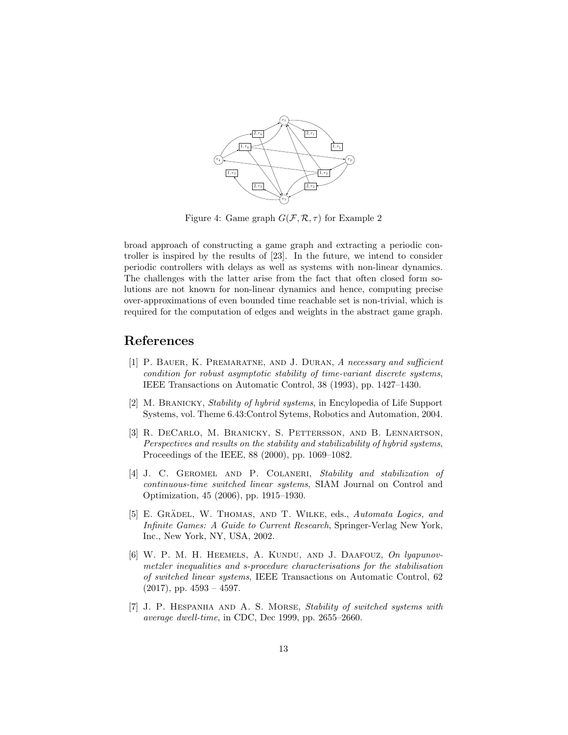

Figure 4: Game graph  $G(\mathcal{F}, \mathcal{R}, \tau)$  for Example 2

broad approach of constructing a game graph and extracting a periodic controller is inspired by the results of [23]. In the future, we intend to consider periodic controllers with delays as well as systems with non-linear dynamics. The challenges with the latter arise from the fact that often closed form solutions are not known for non-linear dynamics and hence, computing precise over-approximations of even bounded time reachable set is non-trivial, which is required for the computation of edges and weights in the abstract game graph.

# References

- [1] P. Bauer, K. Premaratne, and J. Duran, A necessary and sufficient condition for robust asymptotic stability of time-variant discrete systems, IEEE Transactions on Automatic Control, 38 (1993), pp. 1427–1430.
- [2] M. Branicky, Stability of hybrid systems, in Encylopedia of Life Support Systems, vol. Theme 6.43:Control Sytems, Robotics and Automation, 2004.
- [3] R. DeCarlo, M. Branicky, S. Pettersson, and B. Lennartson, Perspectives and results on the stability and stabilizability of hybrid systems, Proceedings of the IEEE, 88 (2000), pp. 1069–1082.
- [4] J. C. GEROMEL AND P. COLANERI, Stability and stabilization of continuous-time switched linear systems, SIAM Journal on Control and Optimization, 45 (2006), pp. 1915–1930.
- [5] E. GRÄDEL, W. THOMAS, AND T. WILKE, eds., Automata Logics, and Infinite Games: A Guide to Current Research, Springer-Verlag New York, Inc., New York, NY, USA, 2002.
- [6] W. P. M. H. HEEMELS, A. KUNDU, AND J. DAAFOUZ, On lyapunovmetzler inequalities and s-procedure characterisations for the stabilisation of switched linear systems, IEEE Transactions on Automatic Control, 62  $(2017)$ , pp.  $4593 - 4597$ .
- [7] J. P. Hespanha and A. S. Morse, Stability of switched systems with average dwell-time, in CDC, Dec 1999, pp. 2655–2660.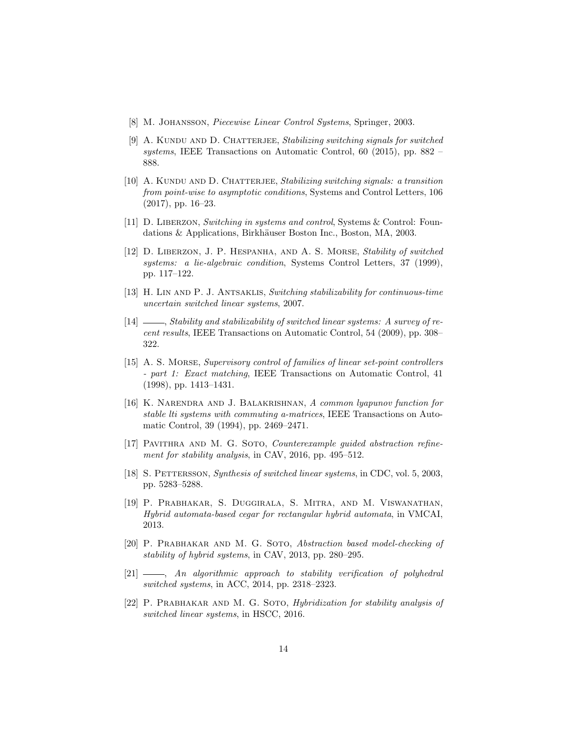- [8] M. JOHANSSON, *Piecewise Linear Control Systems*, Springer, 2003.
- [9] A. KUNDU AND D. CHATTERJEE, Stabilizing switching signals for switched systems, IEEE Transactions on Automatic Control, 60 (2015), pp. 882 – 888.
- [10] A. KUNDU AND D. CHATTERJEE, Stabilizing switching signals: a transition from point-wise to asymptotic conditions, Systems and Control Letters, 106 (2017), pp. 16–23.
- [11] D. Liberzon, Switching in systems and control, Systems & Control: Foundations & Applications, Birkhäuser Boston Inc., Boston, MA, 2003.
- [12] D. Liberzon, J. P. Hespanha, and A. S. Morse, Stability of switched systems: a lie-algebraic condition, Systems Control Letters, 37 (1999), pp. 117–122.
- [13] H. Lin and P. J. Antsaklis, Switching stabilizability for continuous-time uncertain switched linear systems, 2007.
- $[14]$   $\_\_\_\_\$ Stability and stabilizability of switched linear systems: A survey of recent results, IEEE Transactions on Automatic Control, 54 (2009), pp. 308– 322.
- [15] A. S. MORSE, Supervisory control of families of linear set-point controllers - part 1: Exact matching, IEEE Transactions on Automatic Control, 41 (1998), pp. 1413–1431.
- [16] K. Narendra and J. Balakrishnan, A common lyapunov function for stable lti systems with commuting a-matrices, IEEE Transactions on Automatic Control, 39 (1994), pp. 2469–2471.
- [17] PAVITHRA AND M. G. SOTO, *Counterexample guided abstraction refine*ment for stability analysis, in CAV, 2016, pp. 495–512.
- [18] S. PETTERSSON, Synthesis of switched linear systems, in CDC, vol. 5, 2003, pp. 5283–5288.
- [19] P. Prabhakar, S. Duggirala, S. Mitra, and M. Viswanathan, Hybrid automata-based cegar for rectangular hybrid automata, in VMCAI, 2013.
- [20] P. Prabhakar and M. G. Soto, Abstraction based model-checking of stability of hybrid systems, in CAV, 2013, pp. 280–295.
- $[21]$  , An algorithmic approach to stability verification of polyhedral switched systems, in ACC, 2014, pp. 2318–2323.
- [22] P. PRABHAKAR AND M. G. SOTO, *Hybridization for stability analysis of* switched linear systems, in HSCC, 2016.